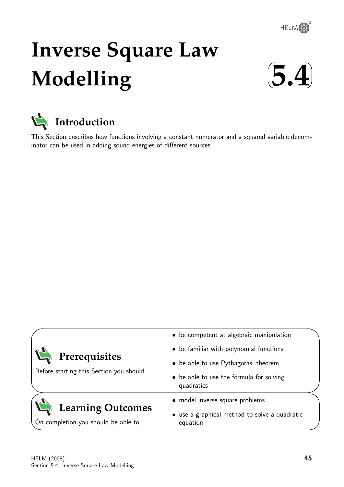

# **Inverse Square Law Modelling**





This Section describes how functions involving a constant numerator and a squared variable denominator can be used in adding sound energies of different sources.

| Prerequisites<br>Before starting this Section you should | • be competent at algebraic manipulation<br>• be familiar with polynomial functions<br>• be able to use Pythagoras' theorem<br>• be able to use the formula for solving<br>quadratics |
|----------------------------------------------------------|---------------------------------------------------------------------------------------------------------------------------------------------------------------------------------------|
| <b>Learning Outcomes</b>                                 | • model inverse square problems                                                                                                                                                       |
| On completion you should be able to                      | • use a graphical method to solve a quadratic<br>equation                                                                                                                             |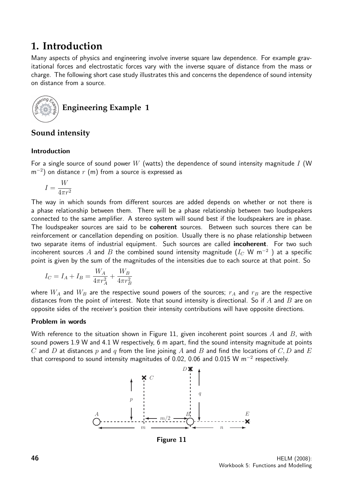## **1. Introduction**

Many aspects of physics and engineering involve inverse square law dependence. For example gravitational forces and electrostatic forces vary with the inverse square of distance from the mass or charge. The following short case study illustrates this and concerns the dependence of sound intensity on distance from a source.



### **Sound intensity**

#### Introduction

For a single source of sound power W (watts) the dependence of sound intensity magnitude I (W  $\,$ m $^{-2})$  on distance  $r$   $\,$  (m) from a source is expressed as

$$
I=\frac{W}{4\pi r^2}
$$

The way in which sounds from different sources are added depends on whether or not there is a phase relationship between them. There will be a phase relationship between two loudspeakers connected to the same amplifier. A stereo system will sound best if the loudspeakers are in phase. The loudspeaker sources are said to be **coherent** sources. Between such sources there can be reinforcement or cancellation depending on position. Usually there is no phase relationship between two separate items of industrial equipment. Such sources are called **incoherent**. For two such incoherent sources  $A$  and  $B$  the combined sound intensity magnitude  $(I_C \mathrel{\mathsf{W}} \mathsf{m}^{-2}$  ) at a specific point is given by the sum of the magnitudes of the intensities due to each source at that point. So

$$
I_C = I_A + I_B = \frac{W_A}{4\pi r_A^2} + \frac{W_B}{4\pi r_B^2}
$$

where  $W_A$  and  $W_B$  are the respective sound powers of the sources;  $r_A$  and  $r_B$  are the respective distances from the point of interest. Note that sound intensity is directional. So if  $A$  and  $B$  are on opposite sides of the receiver's position their intensity contributions will have opposite directions.

#### Problem in words

With reference to the situation shown in Figure 11, given incoherent point sources A and B, with sound powers 1.9 W and 4.1 W respectively, 6 m apart, find the sound intensity magnitude at points C and D at distances p and q from the line joining A and B and find the locations of C, D and E that correspond to sound intensity magnitudes of 0.02, 0.06 and 0.015 W m<sup>-2</sup> respectively.



Figure 11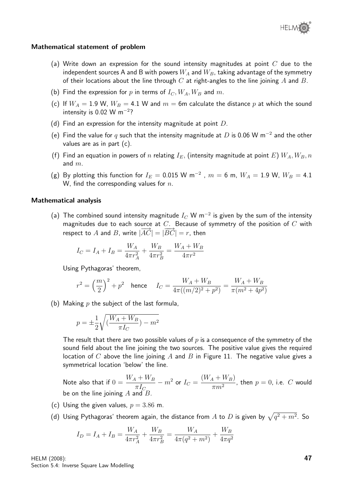#### Mathematical statement of problem

- (a) Write down an expression for the sound intensity magnitudes at point  $C$  due to the independent sources A and B with powers  $W_A$  and  $W_B$ , taking advantage of the symmetry of their locations about the line through  $C$  at right-angles to the line joining  $A$  and  $B$ .
- (b) Find the expression for p in terms of  $I_C$ ,  $W_A$ ,  $W_B$  and m.
- (c) If  $W_A = 1.9$  W,  $W_B = 4.1$  W and  $m = 6$ m calculate the distance p at which the sound intensity is  $0.02$  W m<sup>-2</sup>?
- (d) Find an expression for the intensity magnitude at point  $D$ .
- (e) Find the value for q such that the intensity magnitude at D is 0.06 W m<sup>-2</sup> and the other values are as in part (c).
- (f) Find an equation in powers of n relating  $I_E$ , (intensity magnitude at point E)  $W_A$ ,  $W_B$ , n and  $m$ .
- (g) By plotting this function for  $I_E = 0.015 \text{ W m}^{-2}$  ,  $m = 6 \text{ m}$ ,  $W_A = 1.9 \text{ W}$ ,  $W_B = 4.1$ W, find the corresponding values for  $n$ .

#### Mathematical analysis

(a) The combined sound intensity magnitude  $I_C$  W m $^{-2}$  is given by the sum of the intensity magnitudes due to each source at  $C$ . Because of symmetry of the position of  $C$  with respect to A and B, write  $|\overrightarrow{AC}| = |\overrightarrow{BC}| = r$ , then

$$
I_C = I_A + I_B = \frac{W_A}{4\pi r_A^2} + \frac{W_B}{4\pi r_B^2} = \frac{W_A + W_B}{4\pi r^2}
$$

Using Pythagoras' theorem,

$$
r^2 = \left(\frac{m}{2}\right)^2 + p^2 \quad \text{hence} \quad I_C = \frac{W_A + W_B}{4\pi((m/2)^2 + p^2)} = \frac{W_A + W_B}{\pi(m^2 + 4p^2)}
$$

(b) Making  $p$  the subject of the last formula,

$$
p = \pm \frac{1}{2} \sqrt{\left(\frac{W_A + W_B}{\pi I_C}\right) - m^2}
$$

The result that there are two possible values of  $p$  is a consequence of the symmetry of the sound field about the line joining the two sources. The positive value gives the required location of C above the line joining A and B in Figure 11. The negative value gives a symmetrical location 'below' the line.

Note also that if  $0 = \frac{W_A + W_B}{I}$  $\pi I_C$  $m^2$  or  $I_C =$  $(W_A + W_B)$  $\frac{1 + I + I + I}{\pi m^2}$ , then  $p = 0$ , i.e.  $C$  would be on the line joining  $A$  and  $B$ .

- (c) Using the given values,  $p = 3.86$  m.
- (d) Using Pythagoras' theorem again, the distance from  $A$  to  $D$  is given by  $\sqrt{q^2 + m^2}$ . So

$$
I_D = I_A + I_B = \frac{W_A}{4\pi r_A^2} + \frac{W_B}{4\pi r_B^2} = \frac{W_A}{4\pi (q^2 + m^2)} + \frac{W_B}{4\pi q^2}
$$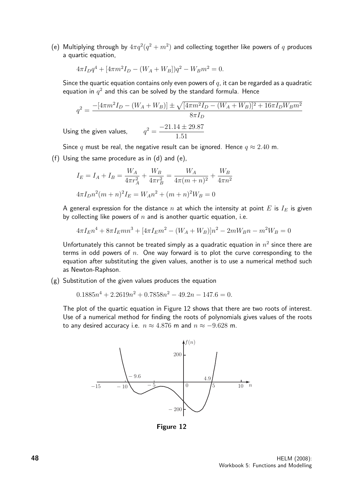(e) Multiplying through by  $4\pi q^2(q^2+m^2)$  and collecting together like powers of q produces a quartic equation,

$$
4\pi I_D q^4 + [4\pi m^2 I_D - (W_A + W_B)]q^2 - W_B m^2 = 0.
$$

Since the quartic equation contains only even powers of  $q$ , it can be regarded as a quadratic equation in  $q^2$  and this can be solved by the standard formula. Hence

$$
q^2 = \frac{-[4\pi m^2 I_D - (W_A + W_B)] \pm \sqrt{[4\pi m^2 I_D - (W_A + W_B)]^2 + 16\pi I_D W_B m^2}}{8\pi I_D}
$$
  
Using the given values, 
$$
q^2 = \frac{-21.14 \pm 29.87}{1.51}
$$

Since q must be real, the negative result can be ignored. Hence  $q \approx 2.40$  m.

(f) Using the same procedure as in (d) and (e),

$$
I_E = I_A + I_B = \frac{W_A}{4\pi r_A^2} + \frac{W_B}{4\pi r_B^2} = \frac{W_A}{4\pi (m+n)^2} + \frac{W_B}{4\pi n^2}
$$

$$
4\pi I_D n^2 (m+n)^2 I_E = W_A n^2 + (m+n)^2 W_B = 0
$$

A general expression for the distance n at which the intensity at point  $E$  is  $I_E$  is given by collecting like powers of  $n$  and is another quartic equation, i.e.

$$
4\pi I_E n^4 + 8\pi I_E mn^3 + [4\pi I_E m^2 - (W_A + W_B)]n^2 - 2mW_B n - m^2 W_B = 0
$$

Unfortunately this cannot be treated simply as a quadratic equation in  $n^2$  since there are terms in odd powers of  $n$ . One way forward is to plot the curve corresponding to the equation after substituting the given values, another is to use a numerical method such as Newton-Raphson.

(g) Substitution of the given values produces the equation

$$
0.1885n4 + 2.2619n2 + 0.7858n2 - 49.2n - 147.6 = 0.
$$

The plot of the quartic equation in Figure 12 shows that there are two roots of interest. Use of a numerical method for finding the roots of polynomials gives values of the roots to any desired accuracy i.e.  $n \approx 4.876$  m and  $n \approx -9.628$  m.



Figure 12